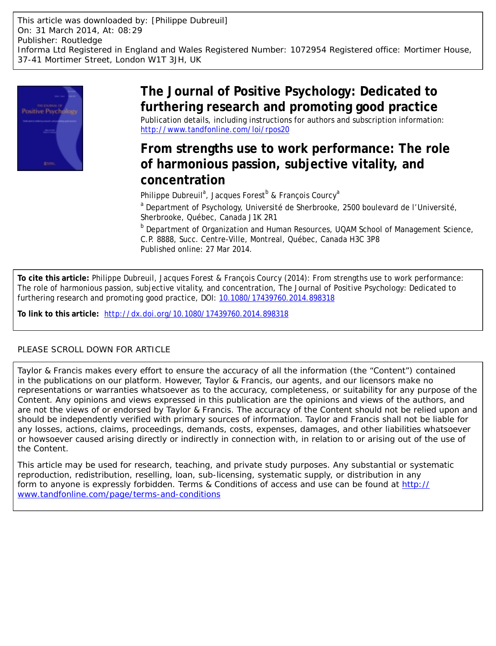

# **The Journal of Positive Psychology: Dedicated to furthering research and promoting good practice** Publication details, including instructions for authors and subscription information: <http://www.tandfonline.com/loi/rpos20>

# **From strengths use to work performance: The role of harmonious passion, subjective vitality, and concentration**

Philippe Dubreuil<sup>a</sup>, Jacques Forest<sup>b</sup> & François Courcy<sup>a</sup>

<sup>a</sup> Department of Psychology, Université de Sherbrooke, 2500 boulevard de l'Université, Sherbrooke, Québec, Canada J1K 2R1

**b** Department of Organization and Human Resources, UQAM School of Management Science, C.P. 8888, Succ. Centre-Ville, Montreal, Québec, Canada H3C 3P8 Published online: 27 Mar 2014.

**To cite this article:** Philippe Dubreuil, Jacques Forest & François Courcy (2014): From strengths use to work performance: The role of harmonious passion, subjective vitality, and concentration, The Journal of Positive Psychology: Dedicated to furthering research and promoting good practice, DOI: [10.1080/17439760.2014.898318](http://www.tandfonline.com/action/showCitFormats?doi=10.1080/17439760.2014.898318)

**To link to this article:** <http://dx.doi.org/10.1080/17439760.2014.898318>

# PLEASE SCROLL DOWN FOR ARTICLE

Taylor & Francis makes every effort to ensure the accuracy of all the information (the "Content") contained in the publications on our platform. However, Taylor & Francis, our agents, and our licensors make no representations or warranties whatsoever as to the accuracy, completeness, or suitability for any purpose of the Content. Any opinions and views expressed in this publication are the opinions and views of the authors, and are not the views of or endorsed by Taylor & Francis. The accuracy of the Content should not be relied upon and should be independently verified with primary sources of information. Taylor and Francis shall not be liable for any losses, actions, claims, proceedings, demands, costs, expenses, damages, and other liabilities whatsoever or howsoever caused arising directly or indirectly in connection with, in relation to or arising out of the use of the Content.

This article may be used for research, teaching, and private study purposes. Any substantial or systematic reproduction, redistribution, reselling, loan, sub-licensing, systematic supply, or distribution in any form to anyone is expressly forbidden. Terms & Conditions of access and use can be found at [http://](http://www.tandfonline.com/page/terms-and-conditions) [www.tandfonline.com/page/terms-and-conditions](http://www.tandfonline.com/page/terms-and-conditions)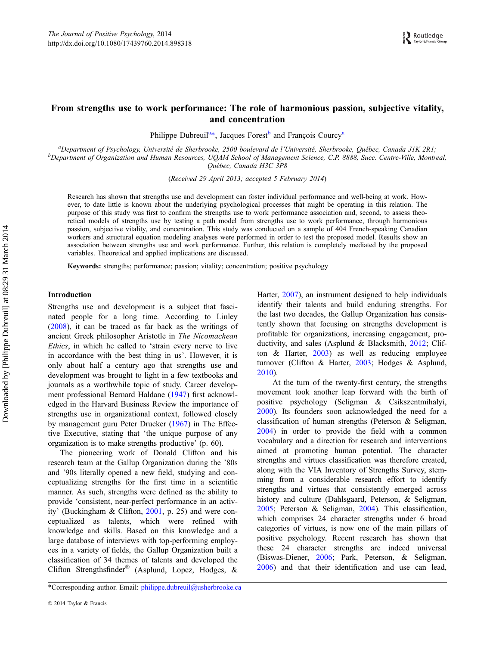# From strengths use to work performance: The role of harmonious passion, subjective vitality, and concentration

Philippe Dubreuil<sup>a\*</sup>, Jacques Forest<sup>b</sup> and François Courcy<sup>a</sup>

<sup>a</sup>Department of Psychology, Université de Sherbrooke, 2500 boulevard de l'Université, Sherbrooke, Québec, Canada JIK 2R1;<br><sup>b</sup>Department of Organization and Human Resources, UOAM School of Managament Science, C.P. 8888, Su  $b$ Department of Organization and Human Resources, UQAM School of Management Science, C.P. 8888, Succ. Centre-Ville, Montreal, Québec, Canada H3C 3P8

(Received 29 April 2013; accepted 5 February 2014)

Research has shown that strengths use and development can foster individual performance and well-being at work. However, to date little is known about the underlying psychological processes that might be operating in this relation. The purpose of this study was first to confirm the strengths use to work performance association and, second, to assess theoretical models of strengths use by testing a path model from strengths use to work performance, through harmonious passion, subjective vitality, and concentration. This study was conducted on a sample of 404 French-speaking Canadian workers and structural equation modeling analyses were performed in order to test the proposed model. Results show an association between strengths use and work performance. Further, this relation is completely mediated by the proposed variables. Theoretical and applied implications are discussed.

Keywords: strengths; performance; passion; vitality; concentration; positive psychology

#### Introduction

Strengths use and development is a subject that fascinated people for a long time. According to Linley [\(2008](#page-13-0)), it can be traced as far back as the writings of ancient Greek philosopher Aristotle in The Nicomachean Ethics, in which he called to 'strain every nerve to live in accordance with the best thing in us'. However, it is only about half a century ago that strengths use and development was brought to light in a few textbooks and journals as a worthwhile topic of study. Career development professional Bernard Haldane ([1947](#page-13-0)) first acknowledged in the Harvard Business Review the importance of strengths use in organizational context, followed closely by management guru Peter Drucker ([1967\)](#page-12-0) in The Effective Executive, stating that 'the unique purpose of any organization is to make strengths productive' (p. 60).

The pioneering work of Donald Clifton and his research team at the Gallup Organization during the '80s and '90s literally opened a new field, studying and conceptualizing strengths for the first time in a scientific manner. As such, strengths were defined as the ability to provide 'consistent, near-perfect performance in an activity' (Buckingham & Clifton, [2001](#page-12-0), p. 25) and were conceptualized as talents, which were refined with knowledge and skills. Based on this knowledge and a large database of interviews with top-performing employees in a variety of fields, the Gallup Organization built a classification of 34 themes of talents and developed the Clifton Strengthsfinder® (Asplund, Lopez, Hodges, &

Harter, [2007\)](#page-11-0), an instrument designed to help individuals identify their talents and build enduring strengths. For the last two decades, the Gallup Organization has consistently shown that focusing on strengths development is profitable for organizations, increasing engagement, productivity, and sales (Asplund & Blacksmith, [2012;](#page-11-0) Clifton & Harter, [2003\)](#page-12-0) as well as reducing employee turnover (Clifton & Harter, [2003](#page-12-0); Hodges & Asplund, [2010\)](#page-13-0).

At the turn of the twenty-first century, the strengths movement took another leap forward with the birth of positive psychology (Seligman & Csikszentmihalyi, [2000\)](#page-15-0). Its founders soon acknowledged the need for a classification of human strengths (Peterson & Seligman, [2004\)](#page-14-0) in order to provide the field with a common vocabulary and a direction for research and interventions aimed at promoting human potential. The character strengths and virtues classification was therefore created, along with the VIA Inventory of Strengths Survey, stemming from a considerable research effort to identify strengths and virtues that consistently emerged across history and culture (Dahlsgaard, Peterson, & Seligman, [2005;](#page-12-0) Peterson & Seligman, [2004](#page-14-0)). This classification, which comprises 24 character strengths under 6 broad categories of virtues, is now one of the main pillars of positive psychology. Recent research has shown that these 24 character strengths are indeed universal (Biswas-Diener, [2006](#page-11-0); Park, Peterson, & Seligman, [2006\)](#page-14-0) and that their identification and use can lead,

<sup>\*</sup>Corresponding author. Email: [philippe.dubreuil@usherbrooke.ca](mailto:philippe.dubreuil@usherbrooke.ca)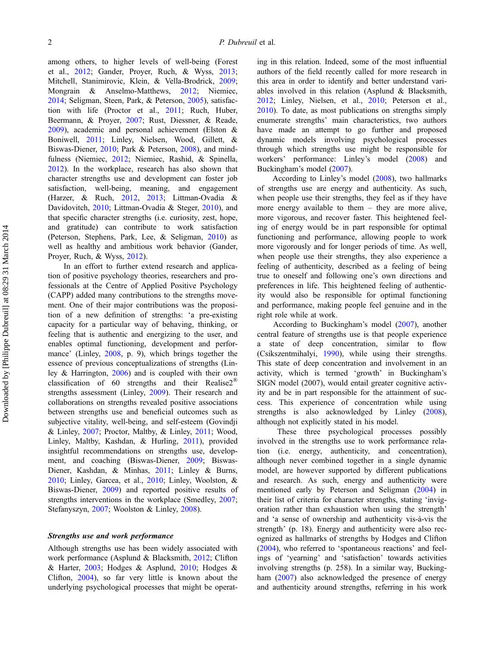among others, to higher levels of well-being (Forest et al., [2012](#page-12-0); Gander, Proyer, Ruch, & Wyss, [2013](#page-12-0); Mitchell, Stanimirovic, Klein, & Vella-Brodrick, [2009](#page-14-0); Mongrain & Anselmo-Matthews, [2012;](#page-14-0) Niemiec, [2014;](#page-14-0) Seligman, Steen, Park, & Peterson, [2005](#page-15-0)), satisfaction with life (Proctor et al., [2011](#page-14-0); Ruch, Huber, Beermann, & Proyer, [2007;](#page-14-0) Rust, Diessner, & Reade, [2009\)](#page-14-0), academic and personal achievement (Elston & Boniwell, [2011;](#page-12-0) Linley, Nielsen, Wood, Gillett, & Biswas-Diener, [2010](#page-13-0); Park & Peterson, [2008\)](#page-14-0), and mindfulness (Niemiec, [2012;](#page-14-0) Niemiec, Rashid, & Spinella, [2012\)](#page-14-0). In the workplace, research has also shown that character strengths use and development can foster job satisfaction, well-being, meaning, and engagement (Harzer, & Ruch, [2012](#page-13-0), [2013;](#page-13-0) Littman-Ovadia & Davidovitch, [2010;](#page-13-0) Littman-Ovadia & Steger, [2010\)](#page-13-0), and that specific character strengths (i.e. curiosity, zest, hope, and gratitude) can contribute to work satisfaction (Peterson, Stephens, Park, Lee, & Seligman, [2010](#page-14-0)) as well as healthy and ambitious work behavior (Gander, Proyer, Ruch, & Wyss, [2012\)](#page-12-0).

In an effort to further extend research and application of positive psychology theories, researchers and professionals at the Centre of Applied Positive Psychology (CAPP) added many contributions to the strengths movement. One of their major contributions was the proposition of a new definition of strengths: 'a pre-existing capacity for a particular way of behaving, thinking, or feeling that is authentic and energizing to the user, and enables optimal functioning, development and performance' (Linley, [2008,](#page-13-0) p. 9), which brings together the essence of previous conceptualizations of strengths (Linley & Harrington, [2006\)](#page-13-0) and is coupled with their own classification of 60 strengths and their Realise2® strengths assessment (Linley, [2009\)](#page-13-0). Their research and collaborations on strengths revealed positive associations between strengths use and beneficial outcomes such as subjective vitality, well-being, and self-esteem (Govindji & Linley, [2007;](#page-13-0) Proctor, Maltby, & Linley, [2011;](#page-14-0) Wood, Linley, Maltby, Kashdan, & Hurling, [2011](#page-15-0)), provided insightful recommendations on strengths use, development, and coaching (Biswas-Diener, [2009](#page-11-0); Biswas-Diener, Kashdan, & Minhas, [2011](#page-12-0); Linley & Burns, [2010;](#page-13-0) Linley, Garcea, et al., [2010;](#page-13-0) Linley, Woolston, & Biswas-Diener, [2009\)](#page-13-0) and reported positive results of strengths interventions in the workplace (Smedley, [2007](#page-15-0); Stefanyszyn, [2007](#page-15-0); Woolston & Linley, [2008](#page-15-0)).

#### Strengths use and work performance

Although strengths use has been widely associated with work performance (Asplund & Blacksmith, [2012](#page-11-0); Clifton & Harter, [2003;](#page-12-0) Hodges & Asplund, [2010](#page-13-0); Hodges & Clifton, [2004](#page-13-0)), so far very little is known about the underlying psychological processes that might be operat-

ing in this relation. Indeed, some of the most influential authors of the field recently called for more research in this area in order to identify and better understand variables involved in this relation (Asplund & Blacksmith, [2012;](#page-11-0) Linley, Nielsen, et al., [2010;](#page-13-0) Peterson et al., [2010\)](#page-14-0). To date, as most publications on strengths simply enumerate strengths' main characteristics, two authors have made an attempt to go further and proposed dynamic models involving psychological processes through which strengths use might be responsible for workers' performance: Linley's model ([2008\)](#page-13-0) and Buckingham's model ([2007\)](#page-12-0).

According to Linley's model [\(2008](#page-13-0)), two hallmarks of strengths use are energy and authenticity. As such, when people use their strengths, they feel as if they have more energy available to them – they are more alive, more vigorous, and recover faster. This heightened feeling of energy would be in part responsible for optimal functioning and performance, allowing people to work more vigorously and for longer periods of time. As well, when people use their strengths, they also experience a feeling of authenticity, described as a feeling of being true to oneself and following one's own directions and preferences in life. This heightened feeling of authenticity would also be responsible for optimal functioning and performance, making people feel genuine and in the right role while at work.

According to Buckingham's model [\(2007](#page-12-0)), another central feature of strengths use is that people experience a state of deep concentration, similar to flow (Csikszentmihalyi, [1990\)](#page-12-0), while using their strengths. This state of deep concentration and involvement in an activity, which is termed 'growth' in Buckingham's SIGN model (2007), would entail greater cognitive activity and be in part responsible for the attainment of success. This experience of concentration while using strengths is also acknowledged by Linley [\(2008](#page-13-0)), although not explicitly stated in his model.

These three psychological processes possibly involved in the strengths use to work performance relation (i.e. energy, authenticity, and concentration), although never combined together in a single dynamic model, are however supported by different publications and research. As such, energy and authenticity were mentioned early by Peterson and Seligman [\(2004](#page-14-0)) in their list of criteria for character strengths, stating 'invigoration rather than exhaustion when using the strength' and 'a sense of ownership and authenticity vis-à-vis the strength' (p. 18). Energy and authenticity were also recognized as hallmarks of strengths by Hodges and Clifton [\(2004](#page-13-0)), who referred to 'spontaneous reactions' and feelings of 'yearning' and 'satisfaction' towards activities involving strengths (p. 258). In a similar way, Buckingham [\(2007](#page-12-0)) also acknowledged the presence of energy and authenticity around strengths, referring in his work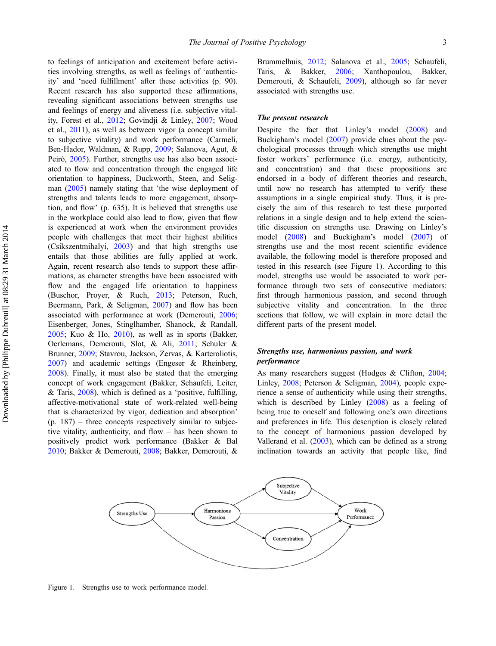<span id="page-3-0"></span>to feelings of anticipation and excitement before activities involving strengths, as well as feelings of 'authenticity' and 'need fulfillment' after these activities (p. 90). Recent research has also supported these affirmations, revealing significant associations between strengths use and feelings of energy and aliveness (i.e. subjective vitality, Forest et al., [2012;](#page-12-0) Govindji & Linley, [2007;](#page-13-0) Wood et al., [2011\)](#page-15-0), as well as between vigor (a concept similar to subjective vitality) and work performance (Carmeli, Ben-Hador, Waldman, & Rupp, [2009;](#page-12-0) Salanova, Agut, & Peiró, [2005\)](#page-14-0). Further, strengths use has also been associated to flow and concentration through the engaged life orientation to happiness, Duckworth, Steen, and Seligman [\(2005](#page-12-0)) namely stating that 'the wise deployment of strengths and talents leads to more engagement, absorption, and flow' (p. 635). It is believed that strengths use in the workplace could also lead to flow, given that flow is experienced at work when the environment provides people with challenges that meet their highest abilities (Csikszentmihalyi, [2003\)](#page-12-0) and that high strengths use entails that those abilities are fully applied at work. Again, recent research also tends to support these affirmations, as character strengths have been associated with flow and the engaged life orientation to happiness (Buschor, Proyer, & Ruch, [2013;](#page-12-0) Peterson, Ruch, Beermann, Park, & Seligman, [2007\)](#page-14-0) and flow has been associated with performance at work (Demerouti, [2006](#page-12-0); Eisenberger, Jones, Stinglhamber, Shanock, & Randall, [2005;](#page-12-0) Kuo & Ho, [2010\)](#page-13-0), as well as in sports (Bakker, Oerlemans, Demerouti, Slot, & Ali, [2011;](#page-11-0) Schuler & Brunner, [2009;](#page-14-0) Stavrou, Jackson, Zervas, & Karteroliotis, [2007\)](#page-15-0) and academic settings (Engeser & Rheinberg, [2008\)](#page-12-0). Finally, it must also be stated that the emerging concept of work engagement (Bakker, Schaufeli, Leiter, & Taris, [2008\)](#page-11-0), which is defined as a 'positive, fulfilling, affective-motivational state of work-related well-being that is characterized by vigor, dedication and absorption'  $(p. 187)$  – three concepts respectively similar to subjective vitality, authenticity, and flow – has been shown to positively predict work performance (Bakker & Bal [2010;](#page-11-0) Bakker & Demerouti, [2008](#page-11-0); Bakker, Demerouti, & Brummelhuis, [2012](#page-11-0); Salanova et al., [2005;](#page-14-0) Schaufeli, Taris, & Bakker, [2006](#page-14-0); Xanthopoulou, Bakker, Demerouti, & Schaufeli, [2009\)](#page-15-0), although so far never associated with strengths use.

#### The present research

Despite the fact that Linley's model [\(2008](#page-13-0)) and Buckigham's model [\(2007](#page-12-0)) provide clues about the psychological processes through which strengths use might foster workers' performance (i.e. energy, authenticity, and concentration) and that these propositions are endorsed in a body of different theories and research, until now no research has attempted to verify these assumptions in a single empirical study. Thus, it is precisely the aim of this research to test these purported relations in a single design and to help extend the scientific discussion on strengths use. Drawing on Linley's model [\(2008](#page-13-0)) and Buckigham's model [\(2007](#page-12-0)) of strengths use and the most recent scientific evidence available, the following model is therefore proposed and tested in this research (see Figure 1). According to this model, strengths use would be associated to work performance through two sets of consecutive mediators: first through harmonious passion, and second through subjective vitality and concentration. In the three sections that follow, we will explain in more detail the different parts of the present model.

## Strengths use, harmonious passion, and work performance

As many researchers suggest (Hodges & Clifton, [2004](#page-13-0); Linley, [2008](#page-13-0); Peterson & Seligman, [2004](#page-14-0)), people experience a sense of authenticity while using their strengths, which is described by Linley ([2008\)](#page-13-0) as a feeling of being true to oneself and following one's own directions and preferences in life. This description is closely related to the concept of harmonious passion developed by Vallerand et al. [\(2003](#page-15-0)), which can be defined as a strong inclination towards an activity that people like, find



Figure 1. Strengths use to work performance model.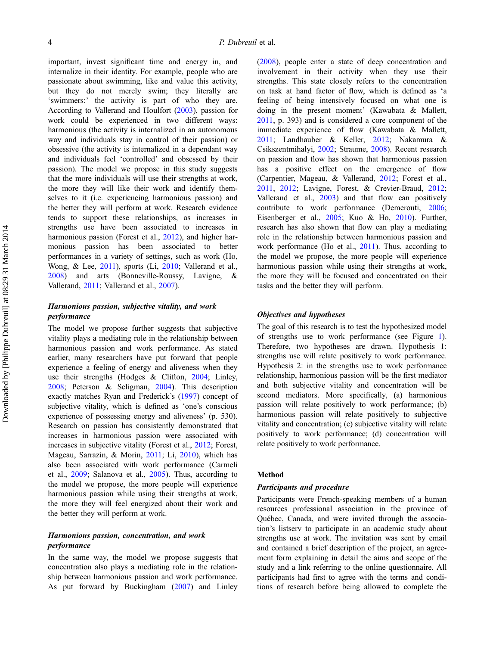important, invest significant time and energy in, and internalize in their identity. For example, people who are passionate about swimming, like and value this activity, but they do not merely swim; they literally are 'swimmers:' the activity is part of who they are. According to Vallerand and Houlfort [\(2003](#page-15-0)), passion for work could be experienced in two different ways: harmonious (the activity is internalized in an autonomous way and individuals stay in control of their passion) or obsessive (the activity is internalized in a dependant way and individuals feel 'controlled' and obsessed by their passion). The model we propose in this study suggests that the more individuals will use their strengths at work, the more they will like their work and identify themselves to it (i.e. experiencing harmonious passion) and the better they will perform at work. Research evidence tends to support these relationships, as increases in strengths use have been associated to increases in harmonious passion (Forest et al., [2012](#page-12-0)), and higher harmonious passion has been associated to better performances in a variety of settings, such as work (Ho, Wong, & Lee, [2011\)](#page-13-0), sports (Li, [2010](#page-13-0); Vallerand et al., [2008\)](#page-15-0) and arts (Bonneville-Roussy, Lavigne, & Vallerand, [2011](#page-12-0); Vallerand et al., [2007](#page-15-0)).

# Harmonious passion, subjective vitality, and work performance

The model we propose further suggests that subjective vitality plays a mediating role in the relationship between harmonious passion and work performance. As stated earlier, many researchers have put forward that people experience a feeling of energy and aliveness when they use their strengths (Hodges & Clifton, [2004](#page-13-0); Linley, [2008;](#page-13-0) Peterson & Seligman, [2004\)](#page-14-0). This description exactly matches Ryan and Frederick's [\(1997](#page-14-0)) concept of subjective vitality, which is defined as 'one's conscious experience of possessing energy and aliveness' (p. 530). Research on passion has consistently demonstrated that increases in harmonious passion were associated with increases in subjective vitality (Forest et al., [2012](#page-12-0); Forest, Mageau, Sarrazin, & Morin, [2011](#page-12-0); Li, [2010\)](#page-13-0), which has also been associated with work performance (Carmeli et al., [2009](#page-12-0); Salanova et al., [2005\)](#page-14-0). Thus, according to the model we propose, the more people will experience harmonious passion while using their strengths at work, the more they will feel energized about their work and the better they will perform at work.

# Harmonious passion, concentration, and work performance

In the same way, the model we propose suggests that concentration also plays a mediating role in the relationship between harmonious passion and work performance. As put forward by Buckingham [\(2007](#page-12-0)) and Linley

[\(2008](#page-13-0)), people enter a state of deep concentration and involvement in their activity when they use their strengths. This state closely refers to the concentration on task at hand factor of flow, which is defined as 'a feeling of being intensively focused on what one is doing in the present moment' (Kawabata & Mallett, [2011,](#page-13-0) p. 393) and is considered a core component of the immediate experience of flow (Kawabata & Mallett, [2011;](#page-13-0) Landhauber & Keller, [2012](#page-13-0); Nakamura & Csikszentmihalyi, [2002;](#page-14-0) Straume, [2008\)](#page-15-0). Recent research on passion and flow has shown that harmonious passion has a positive effect on the emergence of flow (Carpentier, Mageau, & Vallerand, [2012;](#page-12-0) Forest et al., [2011,](#page-12-0) [2012](#page-12-0); Lavigne, Forest, & Crevier-Braud, [2012](#page-13-0); Vallerand et al., [2003](#page-15-0)) and that flow can positively contribute to work performance (Demerouti, [2006](#page-12-0); Eisenberger et al., [2005](#page-12-0); Kuo & Ho, [2010](#page-13-0)). Further, research has also shown that flow can play a mediating role in the relationship between harmonious passion and work performance (Ho et al., [2011\)](#page-13-0). Thus, according to the model we propose, the more people will experience harmonious passion while using their strengths at work, the more they will be focused and concentrated on their tasks and the better they will perform.

# Objectives and hypotheses

The goal of this research is to test the hypothesized model of strengths use to work performance (see Figure [1](#page-3-0)). Therefore, two hypotheses are drawn. Hypothesis 1: strengths use will relate positively to work performance. Hypothesis 2: in the strengths use to work performance relationship, harmonious passion will be the first mediator and both subjective vitality and concentration will be second mediators. More specifically, (a) harmonious passion will relate positively to work performance; (b) harmonious passion will relate positively to subjective vitality and concentration; (c) subjective vitality will relate positively to work performance; (d) concentration will relate positively to work performance.

#### Method

# Participants and procedure

Participants were French-speaking members of a human resources professional association in the province of Québec, Canada, and were invited through the association's listserv to participate in an academic study about strengths use at work. The invitation was sent by email and contained a brief description of the project, an agreement form explaining in detail the aims and scope of the study and a link referring to the online questionnaire. All participants had first to agree with the terms and conditions of research before being allowed to complete the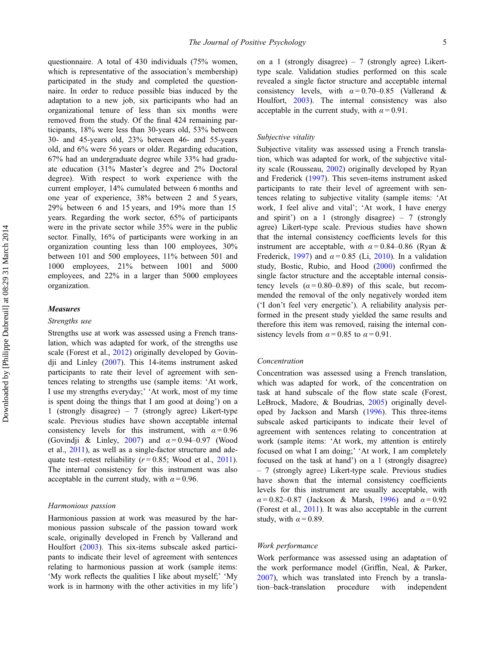questionnaire. A total of 430 individuals (75% women, which is representative of the association's membership) participated in the study and completed the questionnaire. In order to reduce possible bias induced by the adaptation to a new job, six participants who had an organizational tenure of less than six months were removed from the study. Of the final 424 remaining participants, 18% were less than 30-years old, 53% between 30- and 45-years old, 23% between 46- and 55-years old, and 6% were 56 years or older. Regarding education, 67% had an undergraduate degree while 33% had graduate education (31% Master's degree and 2% Doctoral degree). With respect to work experience with the current employer, 14% cumulated between 6 months and one year of experience, 38% between 2 and 5 years, 29% between 6 and 15 years, and 19% more than 15 years. Regarding the work sector, 65% of participants were in the private sector while 35% were in the public sector. Finally, 16% of participants were working in an organization counting less than 100 employees, 30% between 101 and 500 employees, 11% between 501 and 1000 employees, 21% between 1001 and 5000 employees, and 22% in a larger than 5000 employees organization.

#### Measures

#### Strengths use

Strengths use at work was assessed using a French translation, which was adapted for work, of the strengths use scale (Forest et al., [2012\)](#page-12-0) originally developed by Govindji and Linley [\(2007](#page-13-0)). This 14-items instrument asked participants to rate their level of agreement with sentences relating to strengths use (sample items: 'At work, I use my strengths everyday;' 'At work, most of my time is spent doing the things that I am good at doing') on a 1 (strongly disagree) – 7 (strongly agree) Likert-type scale. Previous studies have shown acceptable internal consistency levels for this instrument, with  $\alpha = 0.96$ (Govindji & Linley, [2007\)](#page-13-0) and  $\alpha = 0.94 - 0.97$  (Wood et al., [2011\)](#page-15-0), as well as a single-factor structure and adequate test–retest reliability  $(r=0.85;$  Wood et al., [2011](#page-15-0)). The internal consistency for this instrument was also acceptable in the current study, with  $\alpha = 0.96$ .

#### Harmonious passion

Harmonious passion at work was measured by the harmonious passion subscale of the passion toward work scale, originally developed in French by Vallerand and Houlfort ([2003](#page-15-0)). This six-items subscale asked participants to indicate their level of agreement with sentences relating to harmonious passion at work (sample items: 'My work reflects the qualities I like about myself;' 'My work is in harmony with the other activities in my life') on a 1 (strongly disagree) – 7 (strongly agree) Likerttype scale. Validation studies performed on this scale revealed a single factor structure and acceptable internal consistency levels, with  $\alpha = 0.70{\text -}0.85$  (Vallerand & Houlfort, [2003](#page-15-0)). The internal consistency was also acceptable in the current study, with  $\alpha = 0.91$ .

#### Subjective vitality

Subjective vitality was assessed using a French translation, which was adapted for work, of the subjective vitality scale (Rousseau, [2002](#page-14-0)) originally developed by Ryan and Frederick ([1997\)](#page-14-0). This seven-items instrument asked participants to rate their level of agreement with sentences relating to subjective vitality (sample items: 'At work, I feel alive and vital'; 'At work, I have energy and spirit') on a 1 (strongly disagree) – 7 (strongly agree) Likert-type scale. Previous studies have shown that the internal consistency coefficients levels for this instrument are acceptable, with  $\alpha = 0.84 - 0.86$  (Ryan & Frederick, [1997](#page-14-0)) and  $\alpha = 0.85$  (Li, [2010\)](#page-13-0). In a validation study, Bostic, Rubio, and Hood [\(2000](#page-12-0)) confirmed the single factor structure and the acceptable internal consistency levels  $(\alpha = 0.80 - 0.89)$  of this scale, but recommended the removal of the only negatively worded item ('I don't feel very energetic'). A reliability analysis performed in the present study yielded the same results and therefore this item was removed, raising the internal consistency levels from  $\alpha = 0.85$  to  $\alpha = 0.91$ .

#### Concentration

Concentration was assessed using a French translation, which was adapted for work, of the concentration on task at hand subscale of the flow state scale (Forest, LeBrock, Madore, & Boudrias, [2005\)](#page-12-0) originally developed by Jackson and Marsh ([1996\)](#page-13-0). This three-items subscale asked participants to indicate their level of agreement with sentences relating to concentration at work (sample items: 'At work, my attention is entirely focused on what I am doing;' 'At work, I am completely focused on the task at hand') on a 1 (strongly disagree) – 7 (strongly agree) Likert-type scale. Previous studies have shown that the internal consistency coefficients levels for this instrument are usually acceptable, with  $\alpha = 0.82 - 0.87$  (Jackson & Marsh, [1996](#page-13-0)) and  $\alpha = 0.92$ (Forest et al., [2011\)](#page-12-0). It was also acceptable in the current study, with  $\alpha$  = 0.89.

#### Work performance

Work performance was assessed using an adaptation of the work performance model (Griffin, Neal, & Parker, [2007\)](#page-13-0), which was translated into French by a translation–back-translation procedure with independent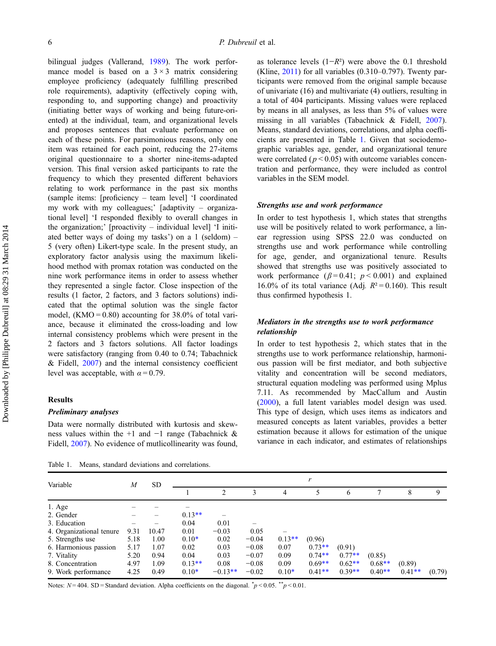bilingual judges (Vallerand, [1989](#page-15-0)). The work performance model is based on a  $3 \times 3$  matrix considering employee proficiency (adequately fulfilling prescribed role requirements), adaptivity (effectively coping with, responding to, and supporting change) and proactivity (initiating better ways of working and being future-oriented) at the individual, team, and organizational levels and proposes sentences that evaluate performance on each of these points. For parsimonious reasons, only one item was retained for each point, reducing the 27-items original questionnaire to a shorter nine-items-adapted version. This final version asked participants to rate the frequency to which they presented different behaviors relating to work performance in the past six months (sample items: [proficiency – team level] 'I coordinated my work with my colleagues;' [adaptivity – organizational level] 'I responded flexibly to overall changes in the organization;' [proactivity – individual level] 'I initiated better ways of doing my tasks') on a 1 (seldom) – 5 (very often) Likert-type scale. In the present study, an exploratory factor analysis using the maximum likelihood method with promax rotation was conducted on the nine work performance items in order to assess whether they represented a single factor. Close inspection of the results (1 factor, 2 factors, and 3 factors solutions) indicated that the optimal solution was the single factor model,  $(KMO = 0.80)$  accounting for 38.0% of total variance, because it eliminated the cross-loading and low internal consistency problems which were present in the 2 factors and 3 factors solutions. All factor loadings were satisfactory (ranging from 0.40 to 0.74; Tabachnick  $&$  Fidell,  $2007$  and the internal consistency coefficient level was acceptable, with  $\alpha = 0.79$ .

#### Results

#### Preliminary analyses

Data were normally distributed with kurtosis and skewness values within the +1 and −1 range (Tabachnick & Fidell, [2007](#page-15-0)). No evidence of mutlicollinearity was found,

Table 1. Means, standard deviations and correlations.

as tolerance levels  $(1-R^2)$  were above the 0.1 threshold (Kline, [2011](#page-13-0)) for all variables (0.310–0.797). Twenty participants were removed from the original sample because of univariate (16) and multivariate (4) outliers, resulting in a total of 404 participants. Missing values were replaced by means in all analyses, as less than 5% of values were missing in all variables (Tabachnick & Fidell, [2007](#page-15-0)). Means, standard deviations, correlations, and alpha coefficients are presented in Table 1. Given that sociodemographic variables age, gender, and organizational tenure were correlated ( $p < 0.05$ ) with outcome variables concentration and performance, they were included as control variables in the SEM model.

#### Strengths use and work performance

In order to test hypothesis 1, which states that strengths use will be positively related to work performance, a linear regression using SPSS 22.0 was conducted on strengths use and work performance while controlling for age, gender, and organizational tenure. Results showed that strengths use was positively associated to work performance ( $\beta$ =0.41;  $p$  < 0.001) and explained 16.0% of its total variance (Adj.  $R^2 = 0.160$ ). This result thus confirmed hypothesis 1.

# Mediators in the strengths use to work performance relationship

In order to test hypothesis 2, which states that in the strengths use to work performance relationship, harmonious passion will be first mediator, and both subjective vitality and concentration will be second mediators, structural equation modeling was performed using Mplus 7.11. As recommended by MacCallum and Austin [\(2000](#page-14-0)), a full latent variables model design was used. This type of design, which uses items as indicators and measured concepts as latent variables, provides a better estimation because it allows for estimation of the unique variance in each indicator, and estimates of relationships

| Variable                 | M    | SD.   | r        |                |         |          |          |          |          |          |        |
|--------------------------|------|-------|----------|----------------|---------|----------|----------|----------|----------|----------|--------|
|                          |      |       |          | $\mathfrak{D}$ | 3       | 4        | 5        | 6        | 7        | 8        | 9      |
| $1. \text{Age}$          |      |       |          |                |         |          |          |          |          |          |        |
| 2. Gender                |      |       | $0.13**$ |                |         |          |          |          |          |          |        |
| 3. Education             |      |       | 0.04     | 0.01           |         |          |          |          |          |          |        |
| 4. Organizational tenure | 9.31 | 10.47 | 0.01     | $-0.03$        | 0.05    |          |          |          |          |          |        |
| 5. Strengths use         | 5.18 | 1.00  | $0.10*$  | 0.02           | $-0.04$ | $0.13**$ | (0.96)   |          |          |          |        |
| 6. Harmonious passion    | 5.17 | 1.07  | 0.02     | 0.03           | $-0.08$ | 0.07     | $0.73**$ | (0.91)   |          |          |        |
| 7. Vitality              | 5.20 | 0.94  | 0.04     | 0.03           | $-0.07$ | 0.09     | $0.74**$ | $0.77**$ | (0.85)   |          |        |
| 8. Concentration         | 4.97 | 1.09  | $0.13**$ | 0.08           | $-0.08$ | 0.09     | $0.69**$ | $0.62**$ | $0.68**$ | (0.89)   |        |
| 9. Work performance      | 4.25 | 0.49  | $0.10*$  | $-0.13**$      | $-0.02$ | $0.10*$  | $0.41**$ | $0.39**$ | $0.40**$ | $0.41**$ | (0.79) |

Notes:  $N = 404$ . SD = Standard deviation. Alpha coefficients on the diagonal.  $\gamma p < 0.05$ .  $\gamma p < 0.01$ .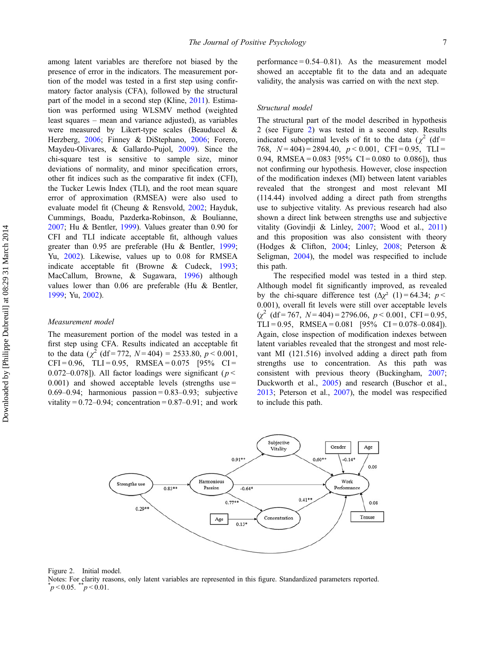among latent variables are therefore not biased by the presence of error in the indicators. The measurement portion of the model was tested in a first step using confirmatory factor analysis (CFA), followed by the structural part of the model in a second step (Kline, [2011](#page-13-0)). Estimation was performed using WLSMV method (weighted least squares – mean and variance adjusted), as variables were measured by Likert-type scales (Beauducel & Herzberg, [2006;](#page-11-0) Finney & DiStephano, [2006;](#page-12-0) Forero, Maydeu-Olivares, & Gallardo-Pujol, [2009](#page-12-0)). Since the chi-square test is sensitive to sample size, minor deviations of normality, and minor specification errors, other fit indices such as the comparative fit index (CFI), the Tucker Lewis Index (TLI), and the root mean square error of approximation (RMSEA) were also used to evaluate model fit (Cheung & Rensvold, [2002](#page-12-0); Hayduk, Cummings, Boadu, Pazderka-Robinson, & Boulianne, [2007;](#page-13-0) Hu & Bentler, [1999\)](#page-13-0). Values greater than 0.90 for CFI and TLI indicate acceptable fit, although values greater than 0.95 are preferable (Hu & Bentler, [1999](#page-13-0); Yu, [2002\)](#page-15-0). Likewise, values up to 0.08 for RMSEA indicate acceptable fit (Browne & Cudeck, [1993](#page-12-0); MacCallum, Browne, & Sugawara, [1996\)](#page-14-0) although values lower than 0.06 are preferable (Hu & Bentler, [1999;](#page-13-0) Yu, [2002\)](#page-15-0).

#### Measurement model

The measurement portion of the model was tested in a first step using CFA. Results indicated an acceptable fit to the data ( $\chi^2$  (df = 772, N = 404) = 2533.80,  $p < 0.001$ ,  $CFI = 0.96$ ,  $TLI = 0.95$ ,  $RMSEA = 0.075$  [95% CI = 0.072–0.078]). All factor loadings were significant ( $p <$  $0.001$ ) and showed acceptable levels (strengths use = 0.69–0.94; harmonious passion =  $0.83-0.93$ ; subjective vitality =  $0.72-0.94$ ; concentration =  $0.87-0.91$ ; and work performance  $= 0.54 - 0.81$ . As the measurement model showed an acceptable fit to the data and an adequate validity, the analysis was carried on with the next step.

#### Structural model

The structural part of the model described in hypothesis 2 (see Figure 2) was tested in a second step. Results indicated suboptimal levels of fit to the data ( $\chi^2$  (df= 768,  $N = 404$ ) = 2894.40,  $p < 0.001$ , CFI = 0.95, TLI = 0.94, RMSEA =  $0.083$  [95% CI = 0.080 to 0.086]), thus not confirming our hypothesis. However, close inspection of the modification indexes (MI) between latent variables revealed that the strongest and most relevant MI (114.44) involved adding a direct path from strengths use to subjective vitality. As previous research had also shown a direct link between strengths use and subjective vitality (Govindji & Linley, [2007](#page-13-0); Wood et al., [2011\)](#page-15-0) and this proposition was also consistent with theory (Hodges & Clifton, [2004;](#page-13-0) Linley, [2008](#page-13-0); Peterson & Seligman, [2004\)](#page-14-0), the model was respecified to include this path.

The respecified model was tested in a third step. Although model fit significantly improved, as revealed by the chi-square difference test  $(\Delta \chi^2)(1) = 64.34$ ;  $p <$ 0.001), overall fit levels were still over acceptable levels  $(\chi^2 \text{ (df=767, } N=404)=2796.06, p<0.001, CFI=0.95,$ TLI = 0.95, RMSEA = 0.081 [95% CI = 0.078-0.084]). Again, close inspection of modification indexes between latent variables revealed that the strongest and most relevant MI (121.516) involved adding a direct path from strengths use to concentration. As this path was consistent with previous theory (Buckingham, [2007](#page-12-0); Duckworth et al., [2005](#page-12-0)) and research (Buschor et al., [2013;](#page-12-0) Peterson et al., [2007](#page-14-0)), the model was respecified to include this path.





Notes: For clarity reasons, only latent variables are represented in this figure. Standardized parameters reported. \*  $\mu$  < 0.05.  $\mu$  < 0.01.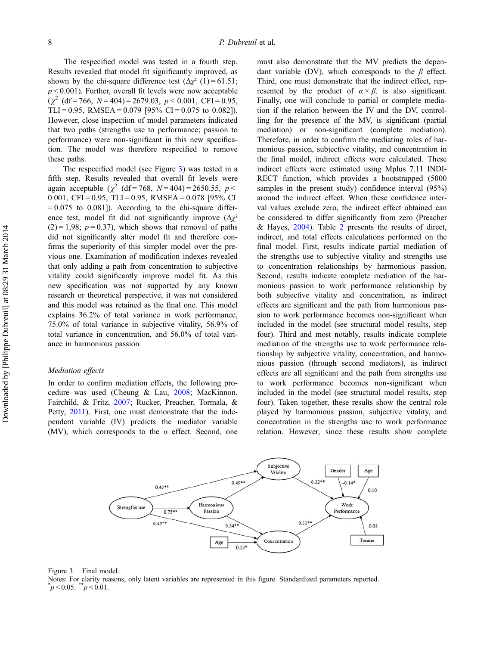The respecified model was tested in a fourth step. Results revealed that model fit significantly improved, as shown by the chi-square difference test  $(\Delta \chi^2)(1) = 61.51$ ;  $p < 0.001$ ). Further, overall fit levels were now acceptable  $(\chi^2 \text{ (df=766, } N=404)=2679.03, p<0.001, \text{ CFI}=0.95,$ TLI = 0.95, RMSEA = 0.079 [95% CI = 0.075 to 0.082]). However, close inspection of model parameters indicated that two paths (strengths use to performance; passion to performance) were non-significant in this new specification. The model was therefore respecified to remove these paths.

The respecified model (see Figure 3) was tested in a fifth step. Results revealed that overall fit levels were again acceptable ( $\chi^2$  (df = 768, N = 404) = 2650.55, p < 0.001, CFI = 0.95, TLI = 0.95, RMSEA = 0.078 [95% CI  $= 0.075$  to 0.081]). According to the chi-square difference test, model fit did not significantly improve  $(\Delta \chi^2)$  $(2) = 1,98$ ;  $p = 0.37$ ), which shows that removal of paths did not significantly alter model fit and therefore confirms the superiority of this simpler model over the previous one. Examination of modification indexes revealed that only adding a path from concentration to subjective vitality could significantly improve model fit. As this new specification was not supported by any known research or theoretical perspective, it was not considered and this model was retained as the final one. This model explains 36.2% of total variance in work performance, 75.0% of total variance in subjective vitality, 56.9% of total variance in concentration, and 56.0% of total variance in harmonious passion.

### Mediation effects

In order to confirm mediation effects, the following procedure was used (Cheung & Lau, [2008;](#page-12-0) MacKinnon, Fairchild, & Fritz, [2007;](#page-14-0) Rucker, Preacher, Tormala, & Petty, [2011](#page-14-0)). First, one must demonstrate that the independent variable (IV) predicts the mediator variable (MV), which corresponds to the  $\alpha$  effect. Second, one

must also demonstrate that the MV predicts the dependant variable (DV), which corresponds to the  $\beta$  effect. Third, one must demonstrate that the indirect effect, represented by the product of  $\alpha \times \beta$ , is also significant. Finally, one will conclude to partial or complete mediation if the relation between the IV and the DV, controlling for the presence of the MV, is significant (partial mediation) or non-significant (complete mediation). Therefore, in order to confirm the mediating roles of harmonious passion, subjective vitality, and concentration in the final model, indirect effects were calculated. These indirect effects were estimated using Mplus 7.11 INDI-RECT function, which provides a bootstrapped (5000 samples in the present study) confidence interval (95%) around the indirect effect. When these confidence interval values exclude zero, the indirect effect obtained can be considered to differ significantly from zero (Preacher & Hayes, [2004](#page-14-0)). Table [2](#page-9-0) presents the results of direct, indirect, and total effects calculations performed on the final model. First, results indicate partial mediation of the strengths use to subjective vitality and strengths use to concentration relationships by harmonious passion. Second, results indicate complete mediation of the harmonious passion to work performance relationship by both subjective vitality and concentration, as indirect effects are significant and the path from harmonious passion to work performance becomes non-significant when included in the model (see structural model results, step four). Third and most notably, results indicate complete mediation of the strengths use to work performance relationship by subjective vitality, concentration, and harmonious passion (through second mediators), as indirect effects are all significant and the path from strengths use to work performance becomes non-significant when included in the model (see structural model results, step four). Taken together, these results show the central role played by harmonious passion, subjective vitality, and concentration in the strengths use to work performance relation. However, since these results show complete





Notes: For clarity reasons, only latent variables are represented in this figure. Standardized parameters reported. \*  $p < 0.05$ .  $p < 0.01$ .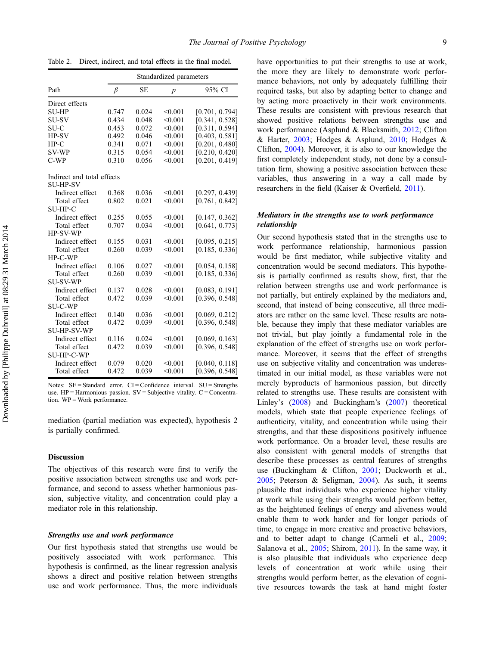|                                               | Standardized parameters |           |                  |                |  |  |  |  |  |
|-----------------------------------------------|-------------------------|-----------|------------------|----------------|--|--|--|--|--|
| Path                                          | β                       | <b>SE</b> | $\boldsymbol{p}$ | 95% CI         |  |  |  |  |  |
| Direct effects                                |                         |           |                  |                |  |  |  |  |  |
| <b>SU-HP</b>                                  | 0.747                   | 0.024     | < 0.001          | [0.701, 0.794] |  |  |  |  |  |
| <b>SU-SV</b>                                  | 0.434                   | 0.048     | < 0.001          | [0.341, 0.528] |  |  |  |  |  |
| SU-C                                          | 0.453                   | 0.072     | < 0.001          | [0.311, 0.594] |  |  |  |  |  |
| HP-SV                                         | 0.492                   | 0.046     | < 0.001          | [0.403, 0.581] |  |  |  |  |  |
| $HP-C$                                        | 0.341                   | 0.071     | < 0.001          | [0.201, 0.480] |  |  |  |  |  |
| <b>SV-WP</b>                                  | 0.315                   | 0.054     | < 0.001          | [0.210, 0.420] |  |  |  |  |  |
| $C-WP$                                        | 0.310                   | 0.056     | < 0.001          | [0.201, 0.419] |  |  |  |  |  |
| Indirect and total effects<br><b>SU-HP-SV</b> |                         |           |                  |                |  |  |  |  |  |
| Indirect effect                               | 0.368                   | 0.036     | < 0.001          | [0.297, 0.439] |  |  |  |  |  |
| Total effect                                  | 0.802                   | 0.021     | < 0.001          | [0.761, 0.842] |  |  |  |  |  |
| <b>SU-HP-C</b>                                |                         |           |                  |                |  |  |  |  |  |
| Indirect effect                               | 0.255                   | 0.055     | < 0.001          | [0.147, 0.362] |  |  |  |  |  |
| Total effect                                  | 0.707                   | 0.034     | < 0.001          | [0.641, 0.773] |  |  |  |  |  |
| <b>HP-SV-WP</b>                               |                         |           |                  |                |  |  |  |  |  |
| Indirect effect                               | 0.155                   | 0.031     | < 0.001          | [0.095, 0.215] |  |  |  |  |  |
| Total effect                                  | 0.260                   | 0.039     | < 0.001          | [0.185, 0.336] |  |  |  |  |  |
| HP-C-WP                                       |                         |           |                  |                |  |  |  |  |  |
| Indirect effect                               | 0.106                   | 0.027     | < 0.001          | [0.054, 0.158] |  |  |  |  |  |
| Total effect                                  | 0.260                   | 0.039     | < 0.001          | [0.185, 0.336] |  |  |  |  |  |
| <b>SU-SV-WP</b>                               |                         |           |                  |                |  |  |  |  |  |
| Indirect effect                               | 0.137                   | 0.028     | < 0.001          | [0.083, 0.191] |  |  |  |  |  |
| Total effect                                  | 0.472                   | 0.039     | < 0.001          | [0.396, 0.548] |  |  |  |  |  |
| <b>SU-C-WP</b>                                |                         |           |                  |                |  |  |  |  |  |
| Indirect effect                               | 0.140                   | 0.036     | < 0.001          | [0.069, 0.212] |  |  |  |  |  |
| Total effect                                  | 0.472                   | 0.039     | < 0.001          | [0.396, 0.548] |  |  |  |  |  |
| <b>SU-HP-SV-WP</b>                            |                         |           |                  |                |  |  |  |  |  |
| Indirect effect                               | 0.116                   | 0.024     | < 0.001          | [0.069, 0.163] |  |  |  |  |  |
| Total effect                                  | 0.472                   | 0.039     | < 0.001          | [0.396, 0.548] |  |  |  |  |  |
| <b>SU-HP-C-WP</b>                             |                         |           |                  |                |  |  |  |  |  |
| Indirect effect                               | 0.079                   | 0.020     | < 0.001          | [0.040, 0.118] |  |  |  |  |  |
| Total effect                                  | 0.472                   | 0.039     | < 0.001          | [0.396, 0.548] |  |  |  |  |  |
|                                               |                         |           |                  |                |  |  |  |  |  |

<span id="page-9-0"></span>Table 2. Direct, indirect, and total effects in the final model.

Notes:  $SE = Standard$  error.  $CI = Confidence$  interval.  $SU = Strengths$ use.  $HP = Harmonious$  passion.  $SV = Subjective$  vitality.  $C = Concentra$ tion. WP = Work performance.

mediation (partial mediation was expected), hypothesis 2 is partially confirmed.

## Discussion

The objectives of this research were first to verify the positive association between strengths use and work performance, and second to assess whether harmonious passion, subjective vitality, and concentration could play a mediator role in this relationship.

#### Strengths use and work performance

Our first hypothesis stated that strengths use would be positively associated with work performance. This hypothesis is confirmed, as the linear regression analysis shows a direct and positive relation between strengths use and work performance. Thus, the more individuals

have opportunities to put their strengths to use at work, the more they are likely to demonstrate work performance behaviors, not only by adequately fulfilling their required tasks, but also by adapting better to change and by acting more proactively in their work environments. These results are consistent with previous research that showed positive relations between strengths use and work performance (Asplund & Blacksmith, [2012](#page-11-0); Clifton & Harter, [2003](#page-12-0); Hodges & Asplund, [2010](#page-13-0); Hodges & Clifton, [2004\)](#page-13-0). Moreover, it is also to our knowledge the first completely independent study, not done by a consultation firm, showing a positive association between these variables, thus answering in a way a call made by researchers in the field (Kaiser & Overfield, [2011\)](#page-13-0).

# Mediators in the strengths use to work performance relationship

Our second hypothesis stated that in the strengths use to work performance relationship, harmonious passion would be first mediator, while subjective vitality and concentration would be second mediators. This hypothesis is partially confirmed as results show, first, that the relation between strengths use and work performance is not partially, but entirely explained by the mediators and, second, that instead of being consecutive, all three mediators are rather on the same level. These results are notable, because they imply that these mediator variables are not trivial, but play jointly a fundamental role in the explanation of the effect of strengths use on work performance. Moreover, it seems that the effect of strengths use on subjective vitality and concentration was underestimated in our initial model, as these variables were not merely byproducts of harmonious passion, but directly related to strengths use. These results are consistent with Linley's ([2008](#page-13-0)) and Buckingham's [\(2007](#page-12-0)) theoretical models, which state that people experience feelings of authenticity, vitality, and concentration while using their strengths, and that these dispositions positively influence work performance. On a broader level, these results are also consistent with general models of strengths that describe these processes as central features of strengths use (Buckingham & Clifton, [2001;](#page-12-0) Duckworth et al., [2005;](#page-12-0) Peterson & Seligman, [2004](#page-14-0)). As such, it seems plausible that individuals who experience higher vitality at work while using their strengths would perform better, as the heightened feelings of energy and aliveness would enable them to work harder and for longer periods of time, to engage in more creative and proactive behaviors, and to better adapt to change (Carmeli et al., [2009](#page-12-0); Salanova et al., [2005](#page-14-0); Shirom, [2011](#page-15-0)). In the same way, it is also plausible that individuals who experience deep levels of concentration at work while using their strengths would perform better, as the elevation of cognitive resources towards the task at hand might foster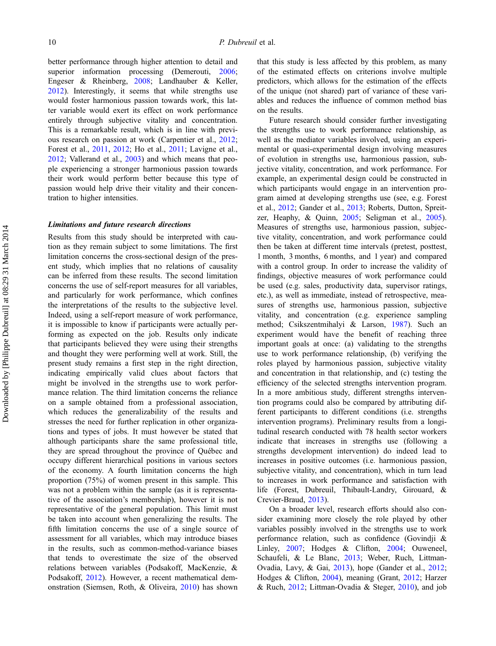better performance through higher attention to detail and superior information processing (Demerouti, [2006](#page-12-0); Engeser & Rheinberg, [2008;](#page-12-0) Landhauber & Keller, [2012\)](#page-13-0). Interestingly, it seems that while strengths use would foster harmonious passion towards work, this latter variable would exert its effect on work performance entirely through subjective vitality and concentration. This is a remarkable result, which is in line with previous research on passion at work (Carpentier et al., [2012](#page-12-0); Forest et al., [2011](#page-12-0), [2012](#page-12-0); Ho et al., [2011](#page-13-0); Lavigne et al., [2012;](#page-13-0) Vallerand et al., [2003\)](#page-15-0) and which means that people experiencing a stronger harmonious passion towards their work would perform better because this type of passion would help drive their vitality and their concentration to higher intensities.

#### Limitations and future research directions

Results from this study should be interpreted with caution as they remain subject to some limitations. The first limitation concerns the cross-sectional design of the present study, which implies that no relations of causality can be inferred from these results. The second limitation concerns the use of self-report measures for all variables, and particularly for work performance, which confines the interpretations of the results to the subjective level. Indeed, using a self-report measure of work performance, it is impossible to know if participants were actually performing as expected on the job. Results only indicate that participants believed they were using their strengths and thought they were performing well at work. Still, the present study remains a first step in the right direction, indicating empirically valid clues about factors that might be involved in the strengths use to work performance relation. The third limitation concerns the reliance on a sample obtained from a professional association, which reduces the generalizability of the results and stresses the need for further replication in other organizations and types of jobs. It must however be stated that although participants share the same professional title, they are spread throughout the province of Québec and occupy different hierarchical positions in various sectors of the economy. A fourth limitation concerns the high proportion (75%) of women present in this sample. This was not a problem within the sample (as it is representative of the association's membership), however it is not representative of the general population. This limit must be taken into account when generalizing the results. The fifth limitation concerns the use of a single source of assessment for all variables, which may introduce biases in the results, such as common-method-variance biases that tends to overestimate the size of the observed relations between variables (Podsakoff, MacKenzie, & Podsakoff, [2012\)](#page-14-0). However, a recent mathematical demonstration (Siemsen, Roth, & Oliveira, [2010\)](#page-15-0) has shown

that this study is less affected by this problem, as many of the estimated effects on criterions involve multiple predictors, which allows for the estimation of the effects of the unique (not shared) part of variance of these variables and reduces the influence of common method bias on the results.

Future research should consider further investigating the strengths use to work performance relationship, as well as the mediator variables involved, using an experimental or quasi-experimental design involving measures of evolution in strengths use, harmonious passion, subjective vitality, concentration, and work performance. For example, an experimental design could be constructed in which participants would engage in an intervention program aimed at developing strengths use (see, e.g. Forest et al., [2012;](#page-12-0) Gander et al., [2013](#page-12-0); Roberts, Dutton, Spreitzer, Heaphy, & Quinn, [2005](#page-14-0); Seligman et al., [2005](#page-15-0)). Measures of strengths use, harmonious passion, subjective vitality, concentration, and work performance could then be taken at different time intervals (pretest, posttest, 1 month, 3 months, 6 months, and 1 year) and compared with a control group. In order to increase the validity of findings, objective measures of work performance could be used (e.g. sales, productivity data, supervisor ratings, etc.), as well as immediate, instead of retrospective, measures of strengths use, harmonious passion, subjective vitality, and concentration (e.g. experience sampling method; Csikszentmihalyi & Larson, [1987\)](#page-12-0). Such an experiment would have the benefit of reaching three important goals at once: (a) validating to the strengths use to work performance relationship, (b) verifying the roles played by harmonious passion, subjective vitality and concentration in that relationship, and (c) testing the efficiency of the selected strengths intervention program. In a more ambitious study, different strengths intervention programs could also be compared by attributing different participants to different conditions (i.e. strengths intervention programs). Preliminary results from a longitudinal research conducted with 78 health sector workers indicate that increases in strengths use (following a strengths development intervention) do indeed lead to increases in positive outcomes (i.e. harmonious passion, subjective vitality, and concentration), which in turn lead to increases in work performance and satisfaction with life (Forest, Dubreuil, Thibault-Landry, Girouard, & Crevier-Braud, [2013\)](#page-12-0).

On a broader level, research efforts should also consider examining more closely the role played by other variables possibly involved in the strengths use to work performance relation, such as confidence (Govindji & Linley, [2007;](#page-13-0) Hodges & Clifton, [2004;](#page-13-0) Ouweneel, Schaufeli, & Le Blanc, [2013;](#page-14-0) Weber, Ruch, Littman-Ovadia, Lavy, & Gai, [2013\)](#page-15-0), hope (Gander et al., [2012](#page-12-0); Hodges & Clifton, [2004](#page-13-0)), meaning (Grant, [2012;](#page-13-0) Harzer & Ruch, [2012](#page-13-0); Littman-Ovadia & Steger, [2010](#page-13-0)), and job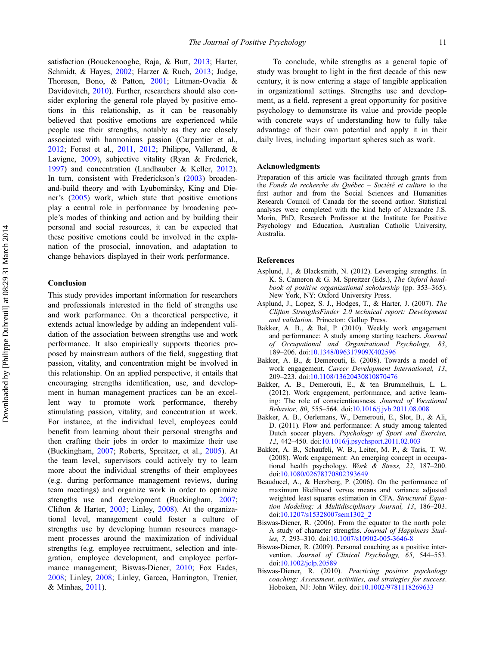<span id="page-11-0"></span>satisfaction (Bouckenooghe, Raja, & Butt, [2013;](#page-12-0) Harter, Schmidt, & Hayes, [2002;](#page-13-0) Harzer & Ruch, [2013](#page-13-0); Judge, Thoresen, Bono, & Patton, [2001](#page-13-0); Littman-Ovadia & Davidovitch, [2010\)](#page-13-0). Further, researchers should also consider exploring the general role played by positive emotions in this relationship, as it can be reasonably believed that positive emotions are experienced while people use their strengths, notably as they are closely associated with harmonious passion (Carpentier et al., [2012;](#page-12-0) Forest et al., [2011](#page-12-0), [2012;](#page-12-0) Philippe, Vallerand, & Lavigne, [2009](#page-14-0)), subjective vitality (Ryan & Frederick, [1997\)](#page-14-0) and concentration (Landhauber & Keller, [2012](#page-13-0)). In turn, consistent with Frederickson's ([2003\)](#page-12-0) broadenand-build theory and with Lyubomirsky, King and Diener's [\(2005](#page-14-0)) work, which state that positive emotions play a central role in performance by broadening people's modes of thinking and action and by building their personal and social resources, it can be expected that these positive emotions could be involved in the explanation of the prosocial, innovation, and adaptation to change behaviors displayed in their work performance.

# Conclusion

This study provides important information for researchers and professionals interested in the field of strengths use and work performance. On a theoretical perspective, it extends actual knowledge by adding an independent validation of the association between strengths use and work performance. It also empirically supports theories proposed by mainstream authors of the field, suggesting that passion, vitality, and concentration might be involved in this relationship. On an applied perspective, it entails that encouraging strengths identification, use, and development in human management practices can be an excellent way to promote work performance, thereby stimulating passion, vitality, and concentration at work. For instance, at the individual level, employees could benefit from learning about their personal strengths and then crafting their jobs in order to maximize their use (Buckingham, [2007](#page-12-0); Roberts, Spreitzer, et al., [2005](#page-14-0)). At the team level, supervisors could actively try to learn more about the individual strengths of their employees (e.g. during performance management reviews, during team meetings) and organize work in order to optimize strengths use and development (Buckingham, [2007](#page-12-0); Clifton & Harter, [2003](#page-12-0); Linley, [2008](#page-13-0)). At the organizational level, management could foster a culture of strengths use by developing human resources management processes around the maximization of individual strengths (e.g. employee recruitment, selection and integration, employee development, and employee performance management; Biswas-Diener, 2010; Fox Eades, [2008;](#page-12-0) Linley, [2008;](#page-13-0) Linley, Garcea, Harrington, Trenier, & Minhas, [2011](#page-13-0)).

To conclude, while strengths as a general topic of study was brought to light in the first decade of this new century, it is now entering a stage of tangible application in organizational settings. Strengths use and development, as a field, represent a great opportunity for positive psychology to demonstrate its value and provide people with concrete ways of understanding how to fully take advantage of their own potential and apply it in their daily lives, including important spheres such as work.

#### Acknowledgments

Preparation of this article was facilitated through grants from the Fonds de recherche du Québec – Société et culture to the first author and from the Social Sciences and Humanities Research Council of Canada for the second author. Statistical analyses were completed with the kind help of Alexandre J.S. Morin, PhD, Research Professor at the Institute for Positive Psychology and Education, Australian Catholic University, Australia.

#### References

- Asplund, J., & Blacksmith, N. (2012). Leveraging strengths. In K. S. Cameron & G. M. Spreitzer (Eds.), The Oxford handbook of positive organizational scholarship (pp. 353–365). New York, NY: Oxford University Press.
- Asplund, J., Lopez, S. J., Hodges, T., & Harter, J. (2007). The Clifton StrengthsFinder 2.0 technical report: Development and validation. Princeton: Gallup Press.
- Bakker, A. B., & Bal, P. (2010). Weekly work engagement and performance: A study among starting teachers. Journal of Occupational and Organizational Psychology, 83, 189–206. doi[:10.1348/096317909X402596](http://dx.doi.org/10.1348/096317909X402596)
- Bakker, A. B., & Demerouti, E. (2008). Towards a model of work engagement. Career Development International, 13, 209–223. doi[:10.1108/13620430810870476](http://dx.doi.org/10.1108/13620430810870476)
- Bakker, A. B., Demerouti, E., & ten Brummelhuis, L. L. (2012). Work engagement, performance, and active learning: The role of conscientiousness. Journal of Vocational Behavior, 80, 555–564. doi[:10.1016/j.jvb.2011.08.008](http://dx.doi.org/10.1016/j.jvb.2011.08.008)
- Bakker, A. B., Oerlemans, W., Demerouti, E., Slot, B., & Ali, D. (2011). Flow and performance: A study among talented Dutch soccer players. Psychology of Sport and Exercise, 12, 442–450. doi[:10.1016/j.psychsport.2011.02.003](http://dx.doi.org/10.1016/j.psych�sport.2011.02.003)
- Bakker, A. B., Schaufeli, W. B., Leiter, M. P., & Taris, T. W. (2008). Work engagement: An emerging concept in occupational health psychology. Work & Stress, 22, 187–200. doi:[10.1080/02678370802393649](http://dx.doi.org/10.1080/02678370802393649)
- Beauducel, A., & Herzberg, P. (2006). On the performance of maximum likelihood versus means and variance adjusted weighted least squares estimation in CFA. Structural Equation Modeling: A Multidisciplinary Journal, 13, 186–203. doi:[10.1207/s15328007sem1302\\_2](http://dx.doi.org/10.1207/s15328007sem1302_2)
- Biswas-Diener, R. (2006). From the equator to the north pole: A study of character strengths. Journal of Happiness Studies, 7, 293–310. doi:[10.1007/s10902-005-3646-8](http://dx.doi.org/10.1007/s10902-005-3646-8)
- Biswas-Diener, R. (2009). Personal coaching as a positive intervention. Journal of Clinical Psychology, 65, 544-553. doi:[10.1002/jclp.20589](http://dx.doi.org/10.1002/jclp.20589)
- Biswas-Diener, R. (2010). Practicing positive psychology coaching: Assessment, activities, and strategies for success. Hoboken, NJ: John Wiley. doi:[10.1002/9781118269633](http://dx.doi.org/10.1002/9781118269633)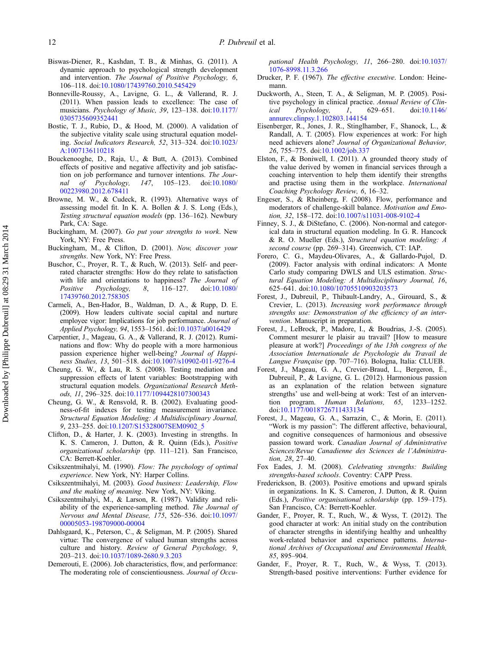- <span id="page-12-0"></span>Biswas-Diener, R., Kashdan, T. B., & Minhas, G. (2011). A dynamic approach to psychological strength development and intervention. The Journal of Positive Psychology, 6, 106–118. doi:[10.1080/17439760.2010.545429](http://dx.doi.org/10.1080/17439760.2010.545429)
- Bonneville-Roussy, A., Lavigne, G. L., & Vallerand, R. J. (2011). When passion leads to excellence: The case of musicians. Psychology of Music, 39, 123–138. doi:[10.1177/](http://dx.doi.org/10.1177/0305735609352441) [0305735609352441](http://dx.doi.org/10.1177/0305735609352441)
- Bostic, T. J., Rubio, D., & Hood, M. (2000). A validation of the subjective vitality scale using structural equation modeling. Social Indicators Research, 52, 313–324. doi:[10.1023/](http://dx.doi.org/10.1023/A:1007136110218) [A:1007136110218](http://dx.doi.org/10.1023/A:1007136110218)
- Bouckenooghe, D., Raja, U., & Butt, A. (2013). Combined effects of positive and negative affectivity and job satisfaction on job performance and turnover intentions. The Journal of Psychology, 147, 105–123. doi:[10.1080/](http://dx.doi.org/10.1080/00223980.2012.678411) [00223980.2012.678411](http://dx.doi.org/10.1080/00223980.2012.678411)
- Browne, M. W., & Cudeck, R. (1993). Alternative ways of assessing model fit. In K. A. Bollen & J. S. Long (Eds.), Testing structural equation models (pp. 136–162). Newbury Park, CA: Sage.
- Buckingham, M. (2007). Go put your strengths to work. New York, NY: Free Press.
- Buckingham, M., & Clifton, D. (2001). Now, discover your strengths. New York, NY: Free Press.
- Buschor, C., Proyer, R. T., & Ruch, W. (2013). Self- and peerrated character strengths: How do they relate to satisfaction with life and orientations to happiness? The Journal of Positive Psychology, 8, 116–127. doi:[10.1080/](http://dx.doi.org/10.1080/17439760.2012.758305) [17439760.2012.758305](http://dx.doi.org/10.1080/17439760.2012.758305)
- Carmeli, A., Ben-Hador, B., Waldman, D. A., & Rupp, D. E. (2009). How leaders cultivate social capital and nurture employee vigor: Implications for job performance. Journal of Applied Psychology, 94, 1553–1561. doi[:10.1037/a0016429](http://dx.doi.org/10.1037/a0016429)
- Carpentier, J., Mageau, G. A., & Vallerand, R. J. (2012). Ruminations and flow: Why do people with a more harmonious passion experience higher well-being? Journal of Happiness Studies, 13, 501–518. doi:[10.1007/s10902-011-9276-4](http://dx.doi.org/10.1007/s10902-011-9276-4)
- Cheung, G. W., & Lau, R. S. (2008). Testing mediation and suppression effects of latent variables: Bootstrapping with structural equation models. Organizational Research Methods, 11, 296–325. doi[:10.1177/1094428107300343](http://dx.doi.org/10.1177/1094428107300343)
- Cheung, G. W., & Rensvold, R. B. (2002). Evaluating goodness-of-fit indexes for testing measurement invariance. Structural Equation Modeling: A Multidisciplinary Journal, 9, 233–255. doi:[10.1207/S15328007SEM0902\\_5](http://dx.doi.org/10.1207/S15328007SEM0902_5)
- Clifton, D., & Harter, J. K. (2003). Investing in strengths. In K. S. Cameron, J. Dutton, & R. Quinn (Eds.), Positive organizational scholarship (pp. 111–121). San Francisco, CA: Berrett-Koehler.
- Csikszentmihalyi, M. (1990). Flow: The psychology of optimal experience. New York, NY: Harper Collins.
- Csikszentmihalyi, M. (2003). Good business: Leadership, Flow and the making of meaning. New York, NY: Viking.
- Csikszentmihalyi, M., & Larson, R. (1987). Validity and reliability of the experience-sampling method. The Journal of Nervous and Mental Disease, 175, 526–536. doi:[10.1097/](http://dx.doi.org/10.1097/00005053-198709000-00004) [00005053-198709000-00004](http://dx.doi.org/10.1097/00005053-198709000-00004)
- Dahlsgaard, K., Peterson, C., & Seligman, M. P. (2005). Shared virtue: The convergence of valued human strengths across culture and history. Review of General Psychology, 9, 203–213. doi[:10.1037/1089-2680.9.3.203](http://dx.doi.org/10.1037/1089-2680.9.3.203)
- Demerouti, E. (2006). Job characteristics, flow, and performance: The moderating role of conscientiousness. Journal of Occu-

pational Health Psychology, 11, 266–280. doi:[10.1037/](http://dx.doi.org/10.1037/1076-8998.11.3.266) [1076-8998.11.3.266](http://dx.doi.org/10.1037/1076-8998.11.3.266)

- Drucker, P. F. (1967). The effective executive. London: Heinemann.
- Duckworth, A., Steen, T. A., & Seligman, M. P. (2005). Positive psychology in clinical practice. Annual Review of Clin-<br>ical Psychology, 1, 629–651. doi:10.1146/ ical Psychology, [annurev.clinpsy.1.102803.144154](http://dx.doi.org/10.1146/an�nu�rev.clin�psy.1.102803.144154)
- Eisenberger, R., Jones, J. R., Stinglhamber, F., Shanock, L., & Randall, A. T. (2005). Flow experiences at work: For high need achievers alone? Journal of Organizational Behavior, 26, 755–775. doi[:10.1002/job.337](http://dx.doi.org/10.1002/job.337)
- Elston, F., & Boniwell, I. (2011). A grounded theory study of the value derived by women in financial services through a coaching intervention to help them identify their strengths and practise using them in the workplace. International Coaching Psychology Review, 6, 16–32.
- Engeser, S., & Rheinberg, F. (2008). Flow, performance and moderators of challenge-skill balance. Motivation and Emotion, 32, 158–172. doi[:10.1007/s11031-008-9102-4](http://dx.doi.org/10.1007/s11031-008-9102-4)
- Finney, S. J., & DiStefano, C. (2006). Non-normal and categorical data in structural equation modeling. In G. R. Hancock & R. O. Mueller (Eds.), Structural equation modeling: A second course (pp. 269–314). Greenwich, CT: IAP.
- Forero, C. G., Maydeu-Olivares, A., & Gallardo-Pujol, D. (2009). Factor analysis with ordinal indicators: A Monte Carlo study comparing DWLS and ULS estimation. Structural Equation Modeling: A Multidisciplinary Journal, 16, 625–641. doi[:10.1080/10705510903203573](http://dx.doi.org/10.1080/10705510903203573)
- Forest, J., Dubreuil, P., Thibault-Landry, A., Girouard, S., & Crevier, L. (2013). Increasing work performance through strengths use: Demonstration of the efficiency of an intervention. Manuscript in preparation.
- Forest, J., LeBrock, P., Madore, I., & Boudrias, J.-S. (2005). Comment mesurer le plaisir au travail? [How to measure pleasure at work?] Proceedings of the 13th congress of the Association Internationale de Psychologie du Travail de Langue Française (pp. 707–716). Bologna, Italia: CLUEB.
- Forest, J., Mageau, G. A., Crevier-Braud, L., Bergeron, É., Dubreuil, P., & Lavigne, G. L. (2012). Harmonious passion as an explanation of the relation between signature strengths' use and well-being at work: Test of an intervention program. Human Relations, 65, 1233–1252. doi:[10.1177/0018726711433134](http://dx.doi.org/10.1177/0018726711433134)
- Forest, J., Mageau, G. A., Sarrazin, C., & Morin, E. (2011). "Work is my passion": The different affective, behavioural, and cognitive consequences of harmonious and obsessive passion toward work. Canadian Journal of Administrative Sciences/Revue Canadienne des Sciences de l'Administration, 28, 27–40.
- Fox Eades, J. M. (2008). Celebrating strengths: Building strengths-based schools. Coventry: CAPP Press.
- Frederickson, B. (2003). Positive emotions and upward spirals in organizations. In K. S. Cameron, J. Dutton, & R. Quinn (Eds.), Positive organisational scholarship (pp. 159–175). San Francisco, CA: Berrett-Koehler.
- Gander, F., Proyer, R. T., Ruch, W., & Wyss, T. (2012). The good character at work: An initial study on the contribution of character strengths in identifying healthy and unhealthy work-related behavior and experience patterns. International Archives of Occupational and Environmental Health, 85, 895–904.
- Gander, F., Proyer, R. T., Ruch, W., & Wyss, T. (2013). Strength-based positive interventions: Further evidence for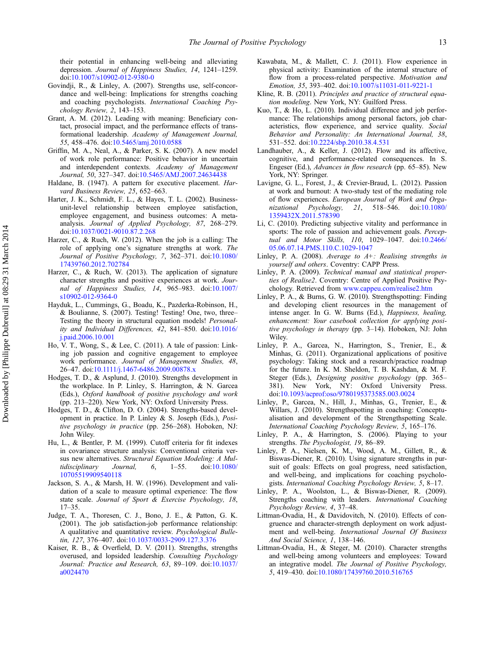<span id="page-13-0"></span>their potential in enhancing well-being and alleviating depression. Journal of Happiness Studies, 14, 1241–1259. doi:[10.1007/s10902-012-9380-0](http://dx.doi.org/10.1007/s10902-012-9380-0)

- Govindji, R., & Linley, A. (2007). Strengths use, self-concordance and well-being: Implications for strengths coaching and coaching psychologists. International Coaching Psychology Review, 2, 143–153.
- Grant, A. M. (2012). Leading with meaning: Beneficiary contact, prosocial impact, and the performance effects of transformational leadership. Academy of Management Journal, 55, 458–476. doi[:10.5465/amj.2010.0588](http://dx.doi.org/10.5465/amj.2010.0588)
- Griffin, M. A., Neal, A., & Parker, S. K. (2007). A new model of work role performance: Positive behavior in uncertain and interdependent contexts. Academy of Management Journal, 50, 327–347. doi[:10.5465/AMJ.2007.24634438](http://dx.doi.org/10.5465/AMJ.2007.24634438)
- Haldane, B. (1947). A pattern for executive placement. Harvard Business Review, 25, 652–663.
- Harter, J. K., Schmidt, F. L., & Hayes, T. L. (2002). Businessunit-level relationship between employee satisfaction, employee engagement, and business outcomes: A metaanalysis. Journal of Applied Psychology, 87, 268–279. doi:[10.1037/0021-9010.87.2.268](http://dx.doi.org/10.1037/0021-9010.87.2.268)
- Harzer, C., & Ruch, W. (2012). When the job is a calling: The role of applying one's signature strengths at work. The Journal of Positive Psychology, 7, 362–371. doi:[10.1080/](http://dx.doi.org/10.1080/17439760.2012.702784) [17439760.2012.702784](http://dx.doi.org/10.1080/17439760.2012.702784)
- Harzer, C., & Ruch, W. (2013). The application of signature character strengths and positive experiences at work. Journal of Happiness Studies, 14, 965–983. doi:[10.1007/](http://dx.doi.org/10.1007/s10902-012-9364-0) [s10902-012-9364-0](http://dx.doi.org/10.1007/s10902-012-9364-0)
- Hayduk, L., Cummings, G., Boadu, K., Pazderka-Robinson, H., & Boulianne, S. (2007). Testing! Testing! One, two, three– Testing the theory in structural equation models! Personality and Individual Differences, 42, 841–850. doi:[10.1016/](http://dx.doi.org/10.1016/j.paid.2006.10.001) [j.paid.2006.10.001](http://dx.doi.org/10.1016/j.paid.2006.10.001)
- Ho, V. T., Wong, S., & Lee, C. (2011). A tale of passion: Linking job passion and cognitive engagement to employee work performance. Journal of Management Studies, 48, 26–47. doi[:10.1111/j.1467-6486.2009.00878.x](http://dx.doi.org/10.1111/j.1467-6486.2009.00878.x)
- Hodges, T. D., & Asplund, J. (2010). Strengths development in the workplace. In P. Linley, S. Harrington, & N. Garcea (Eds.), Oxford handbook of positive psychology and work (pp. 213–220). New York, NY: Oxford University Press.
- Hodges, T. D., & Clifton, D. O. (2004). Strengths-based development in practice. In P. Linley & S. Joseph (Eds.), Positive psychology in practice (pp. 256–268). Hoboken, NJ: John Wiley.
- Hu, L., & Bentler, P. M. (1999). Cutoff criteria for fit indexes in covariance structure analysis: Conventional criteria versus new alternatives. Structural Equation Modeling: A Multidisciplinary Journal, 6, 1–55. doi:[10.1080/](http://dx.doi.org/10.1080/10705519909540118) [10705519909540118](http://dx.doi.org/10.1080/10705519909540118)
- Jackson, S. A., & Marsh, H. W. (1996). Development and validation of a scale to measure optimal experience: The flow state scale. Journal of Sport & Exercise Psychology, 18, 17–35.
- Judge, T. A., Thoresen, C. J., Bono, J. E., & Patton, G. K. (2001). The job satisfaction-job performance relationship: A qualitative and quantitative review. Psychological Bulletin, 127, 376–407. doi[:10.1037/0033-2909.127.3.376](http://dx.doi.org/10.1037/0033-2909.127.3.376)
- Kaiser, R. B., & Overfield, D. V. (2011). Strengths, strengths overused, and lopsided leadership. Consulting Psychology Journal: Practice and Research, 63, 89-109. doi:[10.1037/](http://dx.doi.org/10.1037/a0024470) [a0024470](http://dx.doi.org/10.1037/a0024470)
- Kawabata, M., & Mallett, C. J. (2011). Flow experience in physical activity: Examination of the internal structure of flow from a process-related perspective. Motivation and Emotion, 35, 393–402. doi:[10.1007/s11031-011-9221-1](http://dx.doi.org/10.1007/s11031-011-9221-1)
- Kline, R. B. (2011). Principles and practice of structural equation modeling. New York, NY: Guilford Press.
- Kuo, T., & Ho, L. (2010). Individual difference and job performance: The relationships among personal factors, job characteristics, flow experience, and service quality. Social Behavior and Personality: An International Journal, 38, 531–552. doi[:10.2224/sbp.2010.38.4.531](http://dx.doi.org/10.2224/sbp.2010.38.4.531)
- Landhauber, A., & Keller, J. (2012). Flow and its affective, cognitive, and performance-related consequences. In S. Engeser (Ed.), Advances in flow research (pp. 65–85). New York, NY: Springer.
- Lavigne, G. L., Forest, J., & Crevier-Braud, L. (2012). Passion at work and burnout: A two-study test of the mediating role of flow experiences. European Journal of Work and Organizational Psychology, 21, 518–546. doi:[10.1080/](http://dx.doi.org/10.1080/1359432X.2011.578390) [1359432X.2011.578390](http://dx.doi.org/10.1080/1359432X.2011.578390)
- Li, C. (2010). Predicting subjective vitality and performance in sports: The role of passion and achievement goals. Perceptual and Motor Skills, 110, 1029–1047. doi:[10.2466/](http://dx.doi.org/10.2466/05.06.07.14.PMS.110.C.1029-1047) [05.06.07.14.PMS.110.C.1029-1047](http://dx.doi.org/10.2466/05.06.07.14.PMS.110.C.1029-1047)
- Linley, P. A. (2008). Average to  $A+$ : Realising strengths in yourself and others. Coventry: CAPP Press.
- Linley, P. A. (2009). Technical manual and statistical properties of Realise2. Coventry: Centre of Applied Positive Psychology. Retrieved from [www.cappeu.com/realise2.htm](http://www.cappeu.com/realise2.htm)
- Linley, P. A., & Burns, G. W. (2010). Strengthspotting: Finding and developing client resources in the management of intense anger. In G. W. Burns (Ed.), Happiness, healing, enhancement: Your casebook collection for applying positive psychology in therapy (pp. 3–14). Hoboken, NJ: John Wiley.
- Linley, P. A., Garcea, N., Harrington, S., Trenier, E., & Minhas, G. (2011). Organizational applications of positive psychology: Taking stock and a research/practice roadmap for the future. In K. M. Sheldon, T. B. Kashdan, & M. F. Steger (Eds.), Designing positive psychology (pp. 365– 381). New York, NY: Oxford University Press. doi:[10.1093/acprof:oso/9780195373585.003.0024](http://dx.doi.org/10.1093/ac�prof:oso/9780195373585.003.0024)
- Linley, P., Garcea, N., Hill, J., Minhas, G., Trenier, E., & Willars, J. (2010). Strengthspotting in coaching: Conceptualisation and development of the Strengthspotting Scale. International Coaching Psychology Review, 5, 165–176.
- Linley, P. A., & Harrington, S. (2006). Playing to your strengths. The Psychologist, 19, 86–89.
- Linley, P. A., Nielsen, K. M., Wood, A. M., Gillett, R., & Biswas-Diener, R. (2010). Using signature strengths in pursuit of goals: Effects on goal progress, need satisfaction, and well-being, and implications for coaching psychologists. International Coaching Psychology Review, 5, 8–17.
- Linley, P. A., Woolston, L., & Biswas-Diener, R. (2009). Strengths coaching with leaders. International Coaching Psychology Review, 4, 37–48.
- Littman-Ovadia, H., & Davidovitch, N. (2010). Effects of congruence and character-strength deployment on work adjustment and well-being. International Journal Of Business And Social Science, 1, 138–146.
- Littman-Ovadia, H., & Steger, M. (2010). Character strengths and well-being among volunteers and employees: Toward an integrative model. The Journal of Positive Psychology, 5, 419–430. doi:[10.1080/17439760.2010.516765](http://dx.doi.org/10.1080/17439760.2010.516765)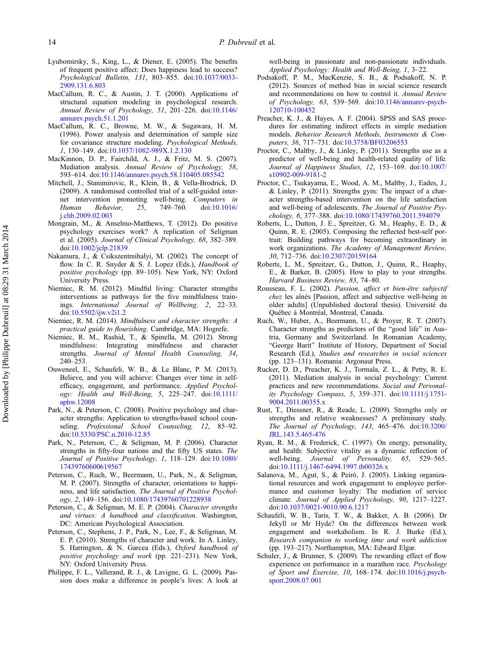- <span id="page-14-0"></span>Lyubomirsky, S., King, L., & Diener, E. (2005). The benefits of frequent positive affect: Does happiness lead to success? Psychological Bulletin, 131, 803–855. doi:[10.1037/0033-](http://dx.doi.org/10.1037/0033-2909.131.6.803) [2909.131.6.803](http://dx.doi.org/10.1037/0033-2909.131.6.803)
- MacCallum, R. C., & Austin, J. T. (2000). Applications of structural equation modeling in psychological research. Annual Review of Psychology, 51, 201–226. doi:[10.1146/](http://dx.doi.org/10.1146/an�nu�rev.psych.51.1.201) [annurev.psych.51.1.201](http://dx.doi.org/10.1146/an�nu�rev.psych.51.1.201)
- MacCallum, R. C., Browne, M. W., & Sugawara, H. M. (1996). Power analysis and determination of sample size for covariance structure modeling. Psychological Methods, 1, 130–149. doi:[10.1037/1082-989X.1.2.130](http://dx.doi.org/10.1037/1082-989X.1.2.130)
- MacKinnon, D. P., Fairchild, A. J., & Fritz, M. S. (2007). Mediation analysis. Annual Review of Psychology, 58, 593–614. doi[:10.1146/annurev.psych.58.110405.085542](http://dx.doi.org/10.1146/an�nu�rev.psych.58.110405.085542)
- Mitchell, J., Stanimirovic, R., Klein, B., & Vella-Brodrick, D. (2009). A randomised controlled trial of a self-guided internet intervention promoting well-being. Computers in Human Behavior, 25, 749–760. doi:[10.1016/](http://dx.doi.org/10.1016/j.chb.2009.02.003) [j.chb.2009.02.003](http://dx.doi.org/10.1016/j.chb.2009.02.003)
- Mongrain, M., & Anselmo-Matthews, T. (2012). Do positive psychology exercises work? A replication of Seligman et al. (2005). Journal of Clinical Psychology, 68, 382–389. doi:[10.1002/jclp.21839](http://dx.doi.org/10.1002/jclp.21839)
- Nakamura, J., & Csikszentmihalyi, M. (2002). The concept of flow. In C. R. Snyder & S. J. Lopez (Eds.), Handbook of positive psychology (pp. 89–105). New York, NY: Oxford University Press.
- Niemiec, R. M. (2012). Mindful living: Character strengths interventions as pathways for the five mindfulness trainings. International Journal of Wellbeing, 2, 22–33. doi:[10.5502/ijw.v2i1.2](http://dx.doi.org/10.5502/ijw.v2i1.2)
- Niemiec, R. M. (2014). Mindfulness and character strengths: A practical guide to flourishing. Cambridge, MA: Hogrefe.
- Niemiec, R. M., Rashid, T., & Spinella, M. (2012). Strong mindfulness: Integrating mindfulness and character strengths. Journal of Mental Health Counseling, 34, 240–253.
- Ouweneel, E., Schaufeli, W. B., & Le Blanc, P. M. (2013). Believe, and you will achieve: Changes over time in selfefficacy, engagement, and performance. Applied Psychology: Health and Well-Being, 5, 225–247. doi[:10.1111/](http://dx.doi.org/10.1111/aphw.12008) [aphw.12008](http://dx.doi.org/10.1111/aphw.12008)
- Park, N., & Peterson, C. (2008). Positive psychology and character strengths: Application to strengths-based school counseling. Professional School Counseling, 12, 85–92. doi:[10.5330/PSC.n.2010-12.85](http://dx.doi.org/10.5330/PSC.n.2010-12.85)
- Park, N., Peterson, C., & Seligman, M. P. (2006). Character strengths in fifty-four nations and the fifty US states. The Journal of Positive Psychology, 1, 118–129. doi:[10.1080/](http://dx.doi.org/10.1080/17439760600619567) [17439760600619567](http://dx.doi.org/10.1080/17439760600619567)
- Peterson, C., Ruch, W., Beermann, U., Park, N., & Seligman, M. P. (2007). Strengths of character, orientations to happiness, and life satisfaction. The Journal of Positive Psychology, 2, 149–156. doi:[10.1080/17439760701228938](http://dx.doi.org/10.1080/17439760701228938)
- Peterson, C., & Seligman, M. E. P. (2004). Character strengths and virtues: A handbook and classification. Washington, DC: American Psychological Association.
- Peterson, C., Stephens, J. P., Park, N., Lee, F., & Seligman, M. E. P. (2010). Strengths of character and work. In A. Linley, S. Harrington, & N. Garcea (Eds.), Oxford handbook of positive psychology and work (pp. 221–231). New York, NY: Oxford University Press.
- Philippe, F. L., Vallerand, R. J., & Lavigne, G. L. (2009). Passion does make a difference in people's lives: A look at

well-being in passionate and non-passionate individuals. Applied Psychology: Health and Well-Being, 1, 3–22.

- Podsakoff, P. M., MacKenzie, S. B., & Podsakoff, N. P. (2012). Sources of method bias in social science research and recommendations on how to control it. Annual Review of Psychology, 63, 539–569. doi:[10.1146/annurev-psych-](http://dx.doi.org/10.1146/an�nu�rev-psych-120710-100452)[120710-100452](http://dx.doi.org/10.1146/an�nu�rev-psych-120710-100452)
- Preacher, K. J., & Hayes, A. F. (2004). SPSS and SAS procedures for estimating indirect effects in simple mediation models. Behavior Research Methods, Instruments & Computers, 36, 717–731. doi:[10.3758/BF03206553](http://dx.doi.org/10.3758/BF03206553)
- Proctor, C., Maltby, J., & Linley, P. (2011). Strengths use as a predictor of well-being and health-related quality of life. Journal of Happiness Studies, 12, 153–169. doi:[10.1007/](http://dx.doi.org/10.1007/s10902-009-9181-2) [s10902-009-9181-2](http://dx.doi.org/10.1007/s10902-009-9181-2)
- Proctor, C., Tsukayama, E., Wood, A. M., Maltby, J., Eades, J., & Linley, P. (2011). Strengths gym: The impact of a character strengths-based intervention on the life satisfaction and well-being of adolescents. The Journal of Positive Psychology, 6, 377–388. doi[:10.1080/17439760.2011.594079](http://dx.doi.org/10.1080/17439760.2011.594079)
- Roberts, L., Dutton, J. E., Spreitzer, G. M., Heaphy, E. D., & Quinn, R. E. (2005). Composing the reflected best-self portrait: Building pathways for becoming extraordinary in work organizations. The Academy of Management Review, 30, 712–736. doi[:10.2307/20159164](http://dx.doi.org/10.2307/20159164)
- Roberts, L. M., Spreitzer, G., Dutton, J., Quinn, R., Heaphy, E., & Barker, B. (2005). How to play to your strengths. Harvard Business Review, 83, 74–80.
- Rousseau, F. L. (2002). Passion, affect et bien-être subjectif chez les aînés [Passion, affect and subjective well-being in older adults] (Unpublished doctoral thesis). Université du Québec à Montréal, Montreal, Canada.
- Ruch, W., Huber, A., Beermann, U., & Proyer, R. T. (2007). Character strengths as predictors of the "good life" in Austria, Germany and Switzerland. In Romanian Academy, "George Barit" Institute of History, Department of Social Research (Ed.), Studies and researches in social sciences (pp. 123–131). Romania: Argonaut Press.
- Rucker, D. D., Preacher, K. J., Tormala, Z. L., & Petty, R. E. (2011). Mediation analysis in social psychology: Current practices and new recommendations. Social and Personality Psychology Compass, 5, 359–371. doi:[10.1111/j.1751-](http://dx.doi.org/10.1111/j.1751-9004.2011.00355.x) [9004.2011.00355.x](http://dx.doi.org/10.1111/j.1751-9004.2011.00355.x)
- Rust, T., Diessner, R., & Reade, L. (2009). Strengths only or strengths and relative weaknesses? A preliminary study. The Journal of Psychology, 143, 465–476. doi:[10.3200/](http://dx.doi.org/10.3200/JRL.143.5.465-476) [JRL.143.5.465-476](http://dx.doi.org/10.3200/JRL.143.5.465-476)
- Ryan, R. M., & Frederick, C. (1997). On energy, personality, and health: Subjective vitality as a dynamic reflection of well-being. Journal of Personality, 65, 529-565. doi:[10.1111/j.1467-6494.1997.tb00326.x](http://dx.doi.org/10.1111/j.1467-6494.1997.tb00326.x)
- Salanova, M., Agut, S., & Peiró, J. (2005). Linking organizational resources and work engagement to employee performance and customer loyalty: The mediation of service climate. Journal of Applied Psychology, 90, 1217–1227. doi:[10.1037/0021-9010.90.6.1217](http://dx.doi.org/10.1037/0021-9010.90.6.1217)
- Schaufeli, W. B., Taris, T. W., & Bakker, A. B. (2006). Dr Jekyll or Mr Hyde? On the differences between work engagement and workaholism. In R. J. Burke (Ed.), Research companion to working time and work addiction (pp. 193–217). Northampton, MA: Edward Elgar.
- Schuler, J., & Brunner, S. (2009). The rewarding effect of flow experience on performance in a marathon race. Psychology of Sport and Exercise, 10, 168–174. doi[:10.1016/j.psych](http://dx.doi.org/10.1016/j.psych�sport.2008.07.001)[sport.2008.07.001](http://dx.doi.org/10.1016/j.psych�sport.2008.07.001)